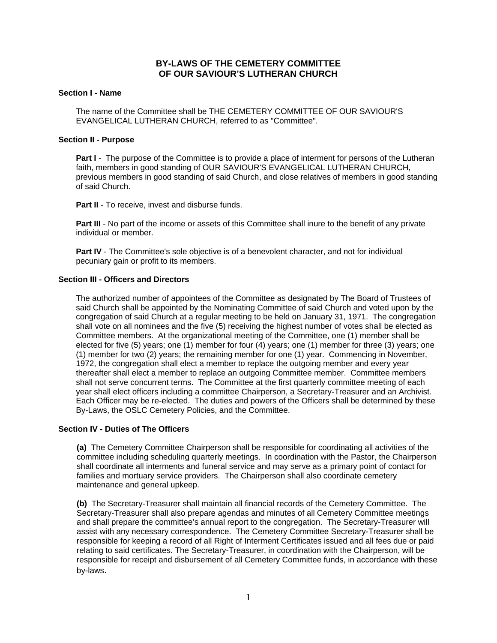# **BY-LAWS OF THE CEMETERY COMMITTEE OF OUR SAVIOUR'S LUTHERAN CHURCH**

# **Section I - Name**

The name of the Committee shall be THE CEMETERY COMMITTEE OF OUR SAVIOUR'S EVANGELICAL LUTHERAN CHURCH, referred to as "Committee".

# **Section II - Purpose**

**Part I** - The purpose of the Committee is to provide a place of interment for persons of the Lutheran faith, members in good standing of OUR SAVIOUR'S EVANGELICAL LUTHERAN CHURCH, previous members in good standing of said Church, and close relatives of members in good standing of said Church.

**Part II** - To receive, invest and disburse funds.

**Part III** - No part of the income or assets of this Committee shall inure to the benefit of any private individual or member.

**Part IV** - The Committee's sole objective is of a benevolent character, and not for individual pecuniary gain or profit to its members.

# **Section III - Officers and Directors**

The authorized number of appointees of the Committee as designated by The Board of Trustees of said Church shall be appointed by the Nominating Committee of said Church and voted upon by the congregation of said Church at a regular meeting to be held on January 31, 1971. The congregation shall vote on all nominees and the five (5) receiving the highest number of votes shall be elected as Committee members. At the organizational meeting of the Committee, one (1) member shall be elected for five (5) years; one (1) member for four (4) years; one (1) member for three (3) years; one (1) member for two (2) years; the remaining member for one (1) year. Commencing in November, 1972, the congregation shall elect a member to replace the outgoing member and every year thereafter shall elect a member to replace an outgoing Committee member. Committee members shall not serve concurrent terms. The Committee at the first quarterly committee meeting of each year shall elect officers including a committee Chairperson, a Secretary-Treasurer and an Archivist. Each Officer may be re-elected. The duties and powers of the Officers shall be determined by these By-Laws, the OSLC Cemetery Policies, and the Committee.

# **Section IV - Duties of The Officers**

**(a)** The Cemetery Committee Chairperson shall be responsible for coordinating all activities of the committee including scheduling quarterly meetings. In coordination with the Pastor, the Chairperson shall coordinate all interments and funeral service and may serve as a primary point of contact for families and mortuary service providers. The Chairperson shall also coordinate cemetery maintenance and general upkeep.

**(b)** The Secretary-Treasurer shall maintain all financial records of the Cemetery Committee. The Secretary-Treasurer shall also prepare agendas and minutes of all Cemetery Committee meetings and shall prepare the committee's annual report to the congregation. The Secretary-Treasurer will assist with any necessary correspondence. The Cemetery Committee Secretary-Treasurer shall be responsible for keeping a record of all Right of Interment Certificates issued and all fees due or paid relating to said certificates. The Secretary-Treasurer, in coordination with the Chairperson, will be responsible for receipt and disbursement of all Cemetery Committee funds, in accordance with these by-laws.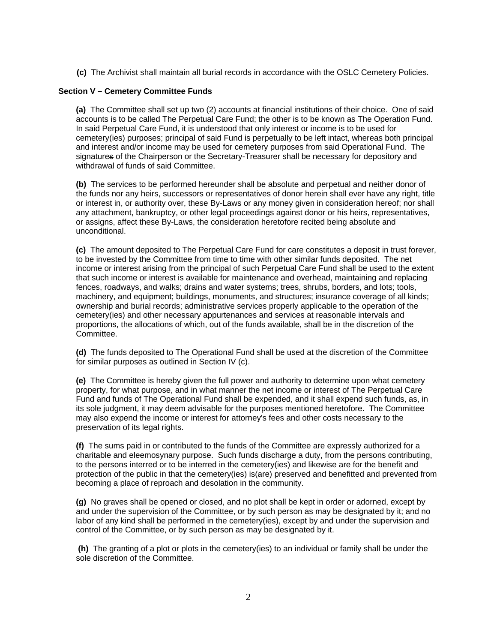**(c)** The Archivist shall maintain all burial records in accordance with the OSLC Cemetery Policies.

# **Section V – Cemetery Committee Funds**

**(a)** The Committee shall set up two (2) accounts at financial institutions of their choice. One of said accounts is to be called The Perpetual Care Fund; the other is to be known as The Operation Fund. In said Perpetual Care Fund, it is understood that only interest or income is to be used for cemetery(ies) purposes; principal of said Fund is perpetually to be left intact, whereas both principal and interest and/or income may be used for cemetery purposes from said Operational Fund. The signatures of the Chairperson or the Secretary-Treasurer shall be necessary for depository and withdrawal of funds of said Committee.

**(b)** The services to be performed hereunder shall be absolute and perpetual and neither donor of the funds nor any heirs, successors or representatives of donor herein shall ever have any right, title or interest in, or authority over, these By-Laws or any money given in consideration hereof; nor shall any attachment, bankruptcy, or other legal proceedings against donor or his heirs, representatives, or assigns, affect these By-Laws, the consideration heretofore recited being absolute and unconditional.

**(c)** The amount deposited to The Perpetual Care Fund for care constitutes a deposit in trust forever, to be invested by the Committee from time to time with other similar funds deposited. The net income or interest arising from the principal of such Perpetual Care Fund shall be used to the extent that such income or interest is available for maintenance and overhead, maintaining and replacing fences, roadways, and walks; drains and water systems; trees, shrubs, borders, and lots; tools, machinery, and equipment; buildings, monuments, and structures; insurance coverage of all kinds; ownership and burial records; administrative services properly applicable to the operation of the cemetery(ies) and other necessary appurtenances and services at reasonable intervals and proportions, the allocations of which, out of the funds available, shall be in the discretion of the Committee.

**(d)** The funds deposited to The Operational Fund shall be used at the discretion of the Committee for similar purposes as outlined in Section IV (c).

**(e)** The Committee is hereby given the full power and authority to determine upon what cemetery property, for what purpose, and in what manner the net income or interest of The Perpetual Care Fund and funds of The Operational Fund shall be expended, and it shall expend such funds, as, in its sole judgment, it may deem advisable for the purposes mentioned heretofore. The Committee may also expend the income or interest for attorney's fees and other costs necessary to the preservation of its legal rights.

**(f)** The sums paid in or contributed to the funds of the Committee are expressly authorized for a charitable and eleemosynary purpose. Such funds discharge a duty, from the persons contributing, to the persons interred or to be interred in the cemetery(ies) and likewise are for the benefit and protection of the public in that the cemetery(ies) is(are) preserved and benefitted and prevented from becoming a place of reproach and desolation in the community.

**(g)** No graves shall be opened or closed, and no plot shall be kept in order or adorned, except by and under the supervision of the Committee, or by such person as may be designated by it; and no labor of any kind shall be performed in the cemetery(ies), except by and under the supervision and control of the Committee, or by such person as may be designated by it.

**(h)** The granting of a plot or plots in the cemetery(ies) to an individual or family shall be under the sole discretion of the Committee.